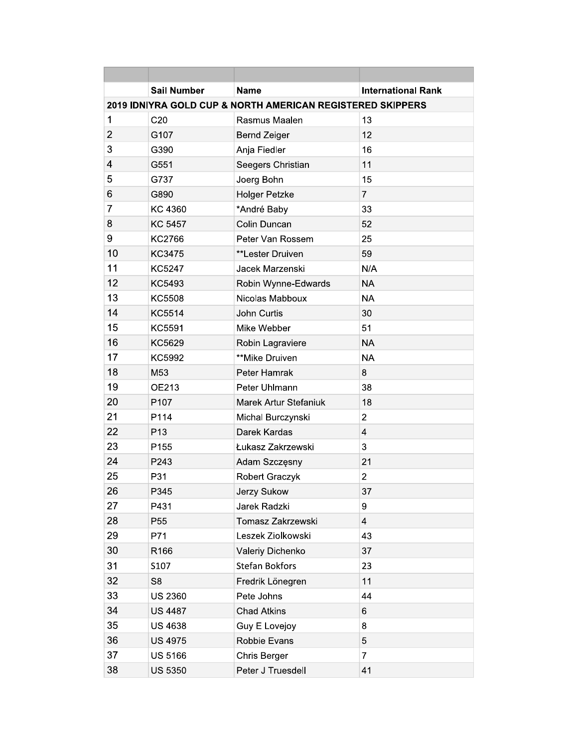|                                                            | <b>Sail Number</b> | <b>Name</b>           | <b>International Rank</b> |  |  |  |
|------------------------------------------------------------|--------------------|-----------------------|---------------------------|--|--|--|
| 2019 IDNIYRA GOLD CUP & NORTH AMERICAN REGISTERED SKIPPERS |                    |                       |                           |  |  |  |
| 1                                                          | C <sub>20</sub>    | Rasmus Maalen         | 13                        |  |  |  |
| $\overline{2}$                                             | G107               | <b>Bernd Zeiger</b>   | 12                        |  |  |  |
| 3                                                          | G390               | Anja Fiedler          | 16                        |  |  |  |
| 4                                                          | G551               | Seegers Christian     | 11                        |  |  |  |
| 5                                                          | G737               | Joerg Bohn            | 15                        |  |  |  |
| 6                                                          | G890               | <b>Holger Petzke</b>  | $\overline{7}$            |  |  |  |
| $\overline{7}$                                             | KC 4360            | *André Baby           | 33                        |  |  |  |
| 8                                                          | <b>KC 5457</b>     | Colin Duncan          | 52                        |  |  |  |
| 9                                                          | KC2766             | Peter Van Rossem      | 25                        |  |  |  |
| 10                                                         | <b>KC3475</b>      | **Lester Druiven      | 59                        |  |  |  |
| 11                                                         | <b>KC5247</b>      | Jacek Marzenski       | N/A                       |  |  |  |
| 12                                                         | KC5493             | Robin Wynne-Edwards   | <b>NA</b>                 |  |  |  |
| 13                                                         | KC5508             | Nicolas Mabboux       | <b>NA</b>                 |  |  |  |
| 14                                                         | KC5514             | John Curtis           | 30                        |  |  |  |
| 15                                                         | KC5591             | Mike Webber           | 51                        |  |  |  |
| 16                                                         | KC5629             | Robin Lagraviere      | <b>NA</b>                 |  |  |  |
| 17                                                         | KC5992             | **Mike Druiven        | <b>NA</b>                 |  |  |  |
| 18                                                         | M53                | Peter Hamrak          | 8                         |  |  |  |
| 19                                                         | OE213              | Peter Uhlmann         | 38                        |  |  |  |
| 20                                                         | P107               | Marek Artur Stefaniuk | 18                        |  |  |  |
| 21                                                         | P114               | Michal Burczynski     | $\overline{c}$            |  |  |  |
| 22                                                         | P <sub>13</sub>    | Darek Kardas          | $\overline{4}$            |  |  |  |
| 23                                                         | P155               | Łukasz Zakrzewski     | 3                         |  |  |  |
| 24                                                         | P243               | Adam Szczęsny         | 21                        |  |  |  |
| 25                                                         | P31                | Robert Graczyk        | $\overline{c}$            |  |  |  |
| 26                                                         | P345               | Jerzy Sukow           | 37                        |  |  |  |
| 27                                                         | P431               | Jarek Radzki          | 9                         |  |  |  |
| 28                                                         | P <sub>55</sub>    | Tomasz Zakrzewski     | $\overline{4}$            |  |  |  |
| 29                                                         | P71                | Leszek Ziolkowski     | 43                        |  |  |  |
| 30                                                         | R166               | Valeriy Dichenko      | 37                        |  |  |  |
| 31                                                         | S107               | <b>Stefan Bokfors</b> | 23                        |  |  |  |
| 32                                                         | S <sub>8</sub>     | Fredrik Lönegren      | 11                        |  |  |  |
| 33                                                         | <b>US 2360</b>     | Pete Johns            | 44                        |  |  |  |
| 34                                                         | <b>US 4487</b>     | <b>Chad Atkins</b>    | 6                         |  |  |  |
| 35                                                         | <b>US 4638</b>     | Guy E Lovejoy         | 8                         |  |  |  |
| 36                                                         | <b>US 4975</b>     | Robbie Evans          | 5                         |  |  |  |
| 37                                                         | US 5166            | Chris Berger          | $\overline{7}$            |  |  |  |
| 38                                                         | <b>US 5350</b>     | Peter J Truesdell     | 41                        |  |  |  |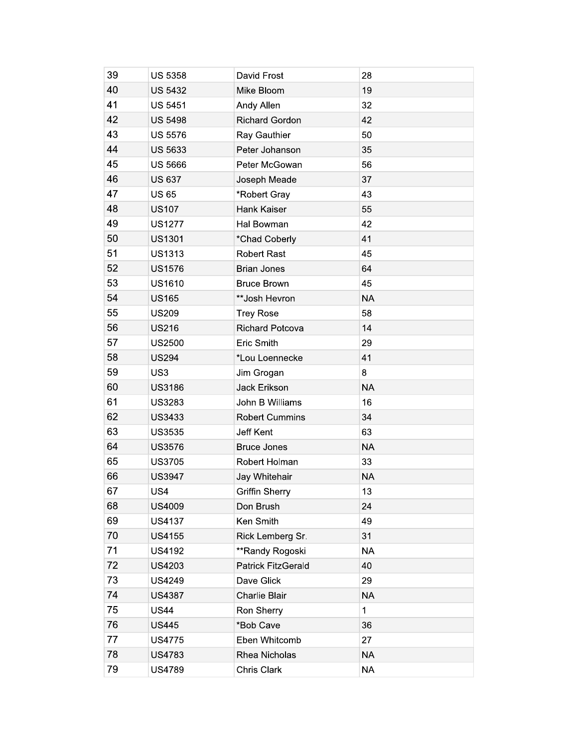| 39 | <b>US 5358</b> | David Frost            | 28        |
|----|----------------|------------------------|-----------|
| 40 | <b>US 5432</b> | Mike Bloom             | 19        |
| 41 | <b>US 5451</b> | Andy Allen             | 32        |
| 42 | <b>US 5498</b> | <b>Richard Gordon</b>  | 42        |
| 43 | <b>US 5576</b> | Ray Gauthier           | 50        |
| 44 | <b>US 5633</b> | Peter Johanson         | 35        |
| 45 | <b>US 5666</b> | Peter McGowan          | 56        |
| 46 | <b>US 637</b>  | Joseph Meade           | 37        |
| 47 | <b>US65</b>    | *Robert Gray           | 43        |
| 48 | <b>US107</b>   | Hank Kaiser            | 55        |
| 49 | <b>US1277</b>  | Hal Bowman             | 42        |
| 50 | <b>US1301</b>  | *Chad Coberly          | 41        |
| 51 | <b>US1313</b>  | <b>Robert Rast</b>     | 45        |
| 52 | <b>US1576</b>  | <b>Brian Jones</b>     | 64        |
| 53 | <b>US1610</b>  | <b>Bruce Brown</b>     | 45        |
| 54 | <b>US165</b>   | **Josh Hevron          | <b>NA</b> |
| 55 | <b>US209</b>   | <b>Trey Rose</b>       | 58        |
| 56 | <b>US216</b>   | <b>Richard Potcova</b> | 14        |
| 57 | <b>US2500</b>  | Eric Smith             | 29        |
| 58 | <b>US294</b>   | *Lou Loennecke         | 41        |
| 59 | US3            | Jim Grogan             | 8         |
| 60 | <b>US3186</b>  | Jack Erikson           | <b>NA</b> |
| 61 | <b>US3283</b>  | John B Williams        | 16        |
| 62 | <b>US3433</b>  | <b>Robert Cummins</b>  | 34        |
| 63 | <b>US3535</b>  | Jeff Kent              | 63        |
| 64 | US3576         | <b>Bruce Jones</b>     | <b>NA</b> |
| 65 | <b>US3705</b>  | Robert Holman          | 33        |
| 66 | <b>US3947</b>  | Jay Whitehair          | <b>NA</b> |
| 67 | US4            | <b>Griffin Sherry</b>  | 13        |
| 68 | US4009         | Don Brush              | 24        |
| 69 | <b>US4137</b>  | Ken Smith              | 49        |
| 70 | US4155         | Rick Lemberg Sr.       | 31        |
| 71 | <b>US4192</b>  | **Randy Rogoski        | <b>NA</b> |
| 72 | US4203         | Patrick FitzGerald     | 40        |
| 73 | <b>US4249</b>  | Dave Glick             | 29        |
| 74 | <b>US4387</b>  | Charlie Blair          | <b>NA</b> |
| 75 | <b>US44</b>    | Ron Sherry             | 1         |
| 76 | <b>US445</b>   | *Bob Cave              | 36        |
| 77 | <b>US4775</b>  | Eben Whitcomb          | 27        |
| 78 | <b>US4783</b>  | Rhea Nicholas          | <b>NA</b> |
| 79 | <b>US4789</b>  | Chris Clark            | <b>NA</b> |